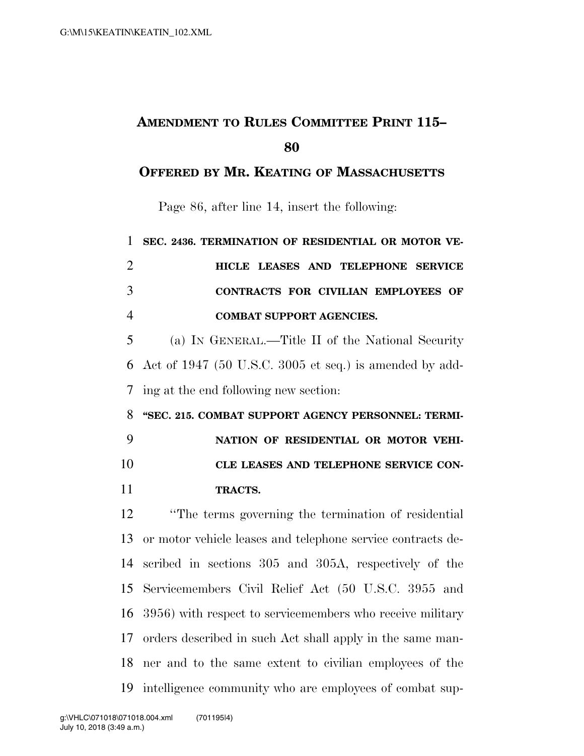## **AMENDMENT TO RULES COMMITTEE PRINT 115–**

## **OFFERED BY MR. KEATING OF MASSACHUSETTS**

Page 86, after line 14, insert the following:

| $\mathbf{1}$   | SEC. 2436. TERMINATION OF RESIDENTIAL OR MOTOR VE-          |
|----------------|-------------------------------------------------------------|
| $\overline{2}$ | HICLE LEASES AND TELEPHONE SERVICE                          |
| 3              | CONTRACTS FOR CIVILIAN EMPLOYEES OF                         |
| $\overline{4}$ | <b>COMBAT SUPPORT AGENCIES.</b>                             |
| 5              | (a) IN GENERAL.—Title II of the National Security           |
| 6              | Act of $1947$ (50 U.S.C. 3005 et seq.) is amended by add-   |
| 7              | ing at the end following new section:                       |
| 8              | "SEC. 215. COMBAT SUPPORT AGENCY PERSONNEL: TERMI-          |
| 9              | NATION OF RESIDENTIAL OR MOTOR VEHI-                        |
|                |                                                             |
| 10             | CLE LEASES AND TELEPHONE SERVICE CON-                       |
| 11             | TRACTS.                                                     |
| 12             | "The terms governing the termination of residential"        |
| 13             | or motor vehicle leases and telephone service contracts de- |
| 14             | scribed in sections 305 and 305A, respectively of the       |
| 15             | Servicemembers Civil Relief Act (50 U.S.C. 3955 and         |
| 16             | 3956) with respect to servicemembers who receive military   |
| 17             | orders described in such Act shall apply in the same man-   |
| 18             | ner and to the same extent to civilian employees of the     |